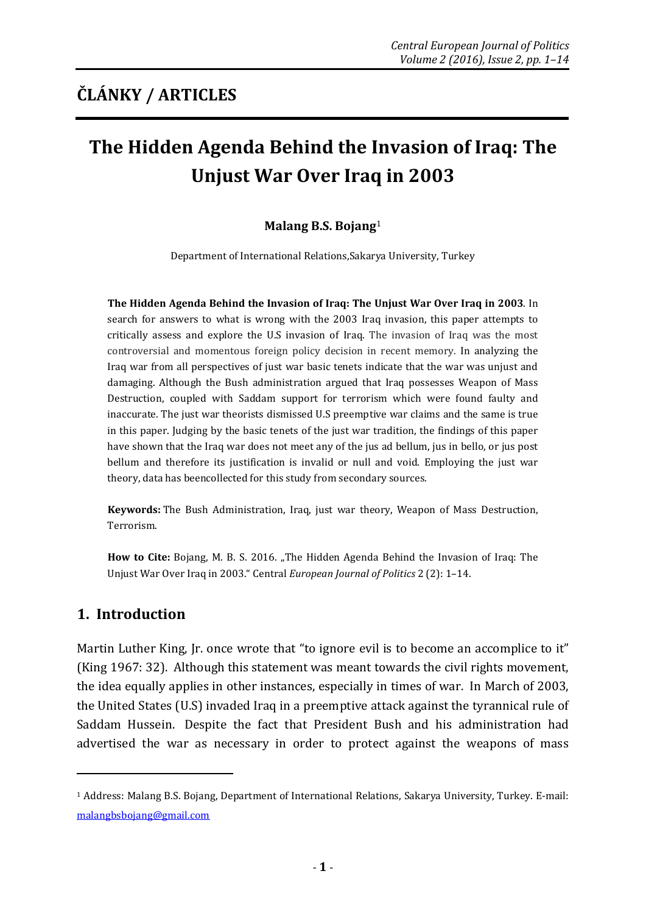# **The Hidden Agenda Behind the Invasion of Iraq: The Unjust War Over Iraq in 2003**

#### **Malang B.S. Bojang**<sup>1</sup>

Department of International Relations,Sakarya University, Turkey

**The Hidden Agenda Behind the Invasion of Iraq: The Unjust War Over Iraq in 2003**. In search for answers to what is wrong with the 2003 Iraq invasion, this paper attempts to critically assess and explore the U.S invasion of Iraq. The invasion of Iraq was the most controversial and momentous foreign policy decision in recent memory. In analyzing the Iraq war from all perspectives of just war basic tenets indicate that the war was unjust and damaging. Although the Bush administration argued that Iraq possesses Weapon of Mass Destruction, coupled with Saddam support for terrorism which were found faulty and inaccurate. The just war theorists dismissed U.S preemptive war claims and the same is true in this paper. Judging by the basic tenets of the just war tradition, the findings of this paper have shown that the Iraq war does not meet any of the jus ad bellum, jus in bello, or jus post bellum and therefore its justification is invalid or null and void. Employing the just war theory, data has beencollected for this study from secondary sources.

**Keywords:** The Bush Administration, Iraq, just war theory, Weapon of Mass Destruction, Terrorism.

How to Cite: Bojang, M. B. S. 2016. "The Hidden Agenda Behind the Invasion of Iraq: The Unjust War Over Iraq in 2003." Central *European Journal of Politics* 2 (2): 1–14.

## **1. Introduction**

1

Martin Luther King, Jr. once wrote that "to ignore evil is to become an accomplice to it" (King 1967: 32). Although this statement was meant towards the civil rights movement, the idea equally applies in other instances, especially in times of war. In March of 2003, the United States (U.S) invaded Iraq in a preemptive attack against the tyrannical rule of Saddam Hussein. Despite the fact that President Bush and his administration had advertised the war as necessary in order to protect against the weapons of mass

<sup>1</sup> Address: Malang B.S. Bojang, Department of International Relations, Sakarya University, Turkey. E-mail: malangbsbojang@gmail.com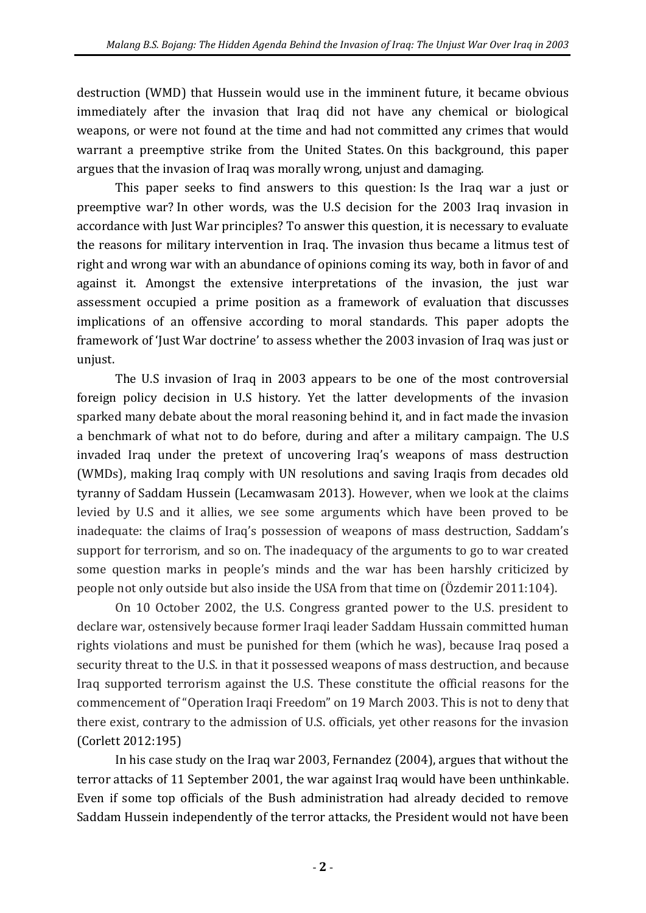destruction (WMD) that Hussein would use in the imminent future, it became obvious immediately after the invasion that Iraq did not have any chemical or biological weapons, or were not found at the time and had not committed any crimes that would warrant a preemptive strike from the United States. On this background, this paper argues that the invasion of Iraq was morally wrong, unjust and damaging.

This paper seeks to find answers to this question: Is the Iraq war a just or preemptive war? In other words, was the U.S decision for the 2003 Iraq invasion in accordance with Just War principles? To answer this question, it is necessary to evaluate the reasons for military intervention in Iraq. The invasion thus became a litmus test of right and wrong war with an abundance of opinions coming its way, both in favor of and against it. Amongst the extensive interpretations of the invasion, the just war assessment occupied a prime position as a framework of evaluation that discusses implications of an offensive according to moral standards. This paper adopts the framework of 'Just War doctrine' to assess whether the 2003 invasion of Iraq was just or unjust.

The U.S invasion of Iraq in 2003 appears to be one of the most controversial foreign policy decision in U.S history. Yet the latter developments of the invasion sparked many debate about the moral reasoning behind it, and in fact made the invasion a benchmark of what not to do before, during and after a military campaign. The U.S invaded Iraq under the pretext of uncovering Iraq's weapons of mass destruction (WMDs), making Iraq comply with UN resolutions and saving Iraqis from decades old tyranny of Saddam Hussein (Lecamwasam 2013). However, when we look at the claims levied by U.S and it allies, we see some arguments which have been proved to be inadequate: the claims of Iraq's possession of weapons of mass destruction, Saddam's support for terrorism, and so on. The inadequacy of the arguments to go to war created some question marks in people's minds and the war has been harshly criticized by people not only outside but also inside the USA from that time on (Özdemir 2011:104).

On 10 October 2002, the U.S. Congress granted power to the U.S. president to declare war, ostensively because former Iraqi leader Saddam Hussain committed human rights violations and must be punished for them (which he was), because Iraq posed a security threat to the U.S. in that it possessed weapons of mass destruction, and because Iraq supported terrorism against the U.S. These constitute the official reasons for the commencement of "Operation Iraqi Freedom" on 19 March 2003. This is not to deny that there exist, contrary to the admission of U.S. officials, yet other reasons for the invasion (Corlett 2012:195)

In his case study on the Iraq war 2003, Fernandez (2004), argues that without the terror attacks of 11 September 2001, the war against Iraq would have been unthinkable. Even if some top officials of the Bush administration had already decided to remove Saddam Hussein independently of the terror attacks, the President would not have been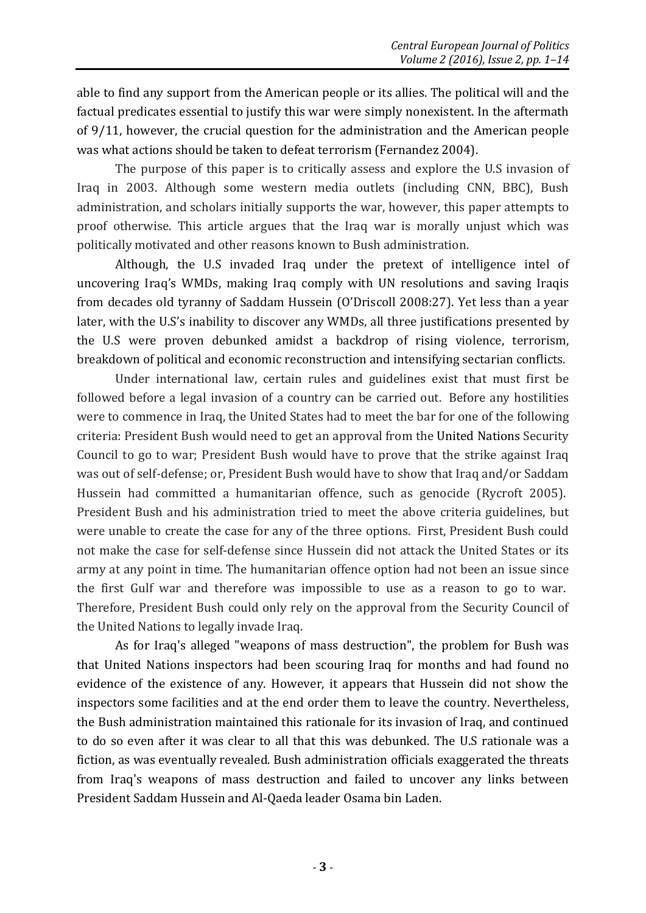able to find any support from the American people or its allies. The political will and the factual predicates essential to justify this war were simply nonexistent. In the aftermath of 9/11, however, the crucial question for the administration and the American people was what actions should be taken to defeat terrorism (Fernandez 2004).

The purpose of this paper is to critically assess and explore the U.S invasion of Iraq in 2003. Although some western media outlets (including CNN, BBC), Bush administration, and scholars initially supports the war, however, this paper attempts to proof otherwise. This article argues that the Iraq war is morally unjust which was politically motivated and other reasons known to Bush administration.

Although, the U.S invaded Iraq under the pretext of intelligence intel of uncovering Iraq's WMDs, making Iraq comply with UN resolutions and saving Iraqis from decades old tyranny of Saddam Hussein (O'Driscoll 2008:27). Yet less than a year later, with the U.S's inability to discover any WMDs, all three justifications presented by the U.S were proven debunked amidst a backdrop of rising violence, terrorism, breakdown of political and economic reconstruction and intensifying sectarian conflicts.

Under international law, certain rules and guidelines exist that must first be followed before a legal invasion of a country can be carried out. Before any hostilities were to commence in Iraq, the United States had to meet the bar for one of the following criteria: President Bush would need to get an approval from the United Nations Security Council to go to war; President Bush would have to prove that the strike against Iraq was out of self-defense; or, President Bush would have to show that Iraq and/or Saddam Hussein had committed a humanitarian offence, such as genocide (Rycroft 2005). President Bush and his administration tried to meet the above criteria guidelines, but were unable to create the case for any of the three options. First, President Bush could not make the case for self-defense since Hussein did not attack the United States or its army at any point in time. The humanitarian offence option had not been an issue since the first Gulf war and therefore was impossible to use as a reason to go to war. Therefore, President Bush could only rely on the approval from the Security Council of the United Nations to legally invade Iraq.

As for Iraq's alleged "weapons of mass destruction", the problem for Bush was that United Nations inspectors had been scouring Iraq for months and had found no evidence of the existence of any. However, it appears that Hussein did not show the inspectors some facilities and at the end order them to leave the country. Nevertheless, the Bush administration maintained this rationale for its invasion of Iraq, and continued to do so even after it was clear to all that this was debunked. The U.S rationale was a fiction, as was eventually revealed. Bush administration officials exaggerated the threats from Iraq's weapons of mass destruction and failed to uncover any links between President Saddam Hussein and Al-Qaeda leader Osama bin Laden.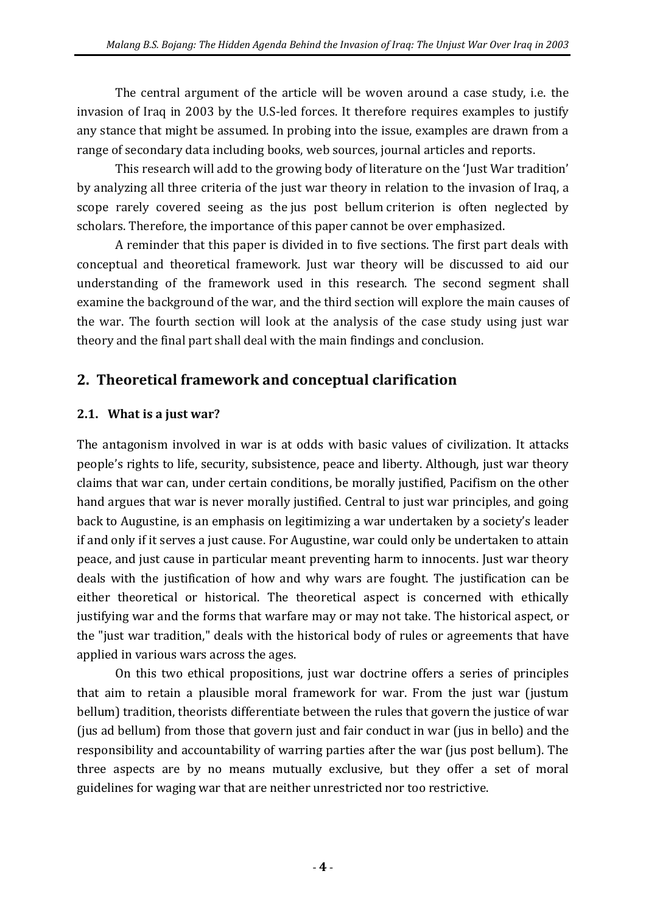The central argument of the article will be woven around a case study, i.e. the invasion of Iraq in 2003 by the U.S-led forces. It therefore requires examples to justify any stance that might be assumed. In probing into the issue, examples are drawn from a range of secondary data including books, web sources, journal articles and reports.

This research will add to the growing body of literature on the 'Just War tradition' by analyzing all three criteria of the just war theory in relation to the invasion of Iraq, a scope rarely covered seeing as the jus post bellum criterion is often neglected by scholars. Therefore, the importance of this paper cannot be over emphasized.

A reminder that this paper is divided in to five sections. The first part deals with conceptual and theoretical framework. Just war theory will be discussed to aid our understanding of the framework used in this research. The second segment shall examine the background of the war, and the third section will explore the main causes of the war. The fourth section will look at the analysis of the case study using just war theory and the final part shall deal with the main findings and conclusion.

## **2. Theoretical framework and conceptual clarification**

#### **2.1. What is a just war?**

The antagonism involved in war is at odds with basic values of civilization. It attacks people's rights to life, security, subsistence, peace and liberty. Although, just war theory claims that war can, under certain conditions, be morally justified, Pacifism on the other hand argues that war is never morally justified. Central to just war principles, and going back to Augustine, is an emphasis on legitimizing a war undertaken by a society's leader if and only if it serves a just cause. For Augustine, war could only be undertaken to attain peace, and just cause in particular meant preventing harm to innocents. Just war theory deals with the justification of how and why wars are fought. The justification can be either theoretical or historical. The theoretical aspect is concerned with ethically justifying war and the forms that warfare may or may not take. The historical aspect, or the "just war tradition," deals with the historical body of rules or agreements that have applied in various wars across the ages.

On this two ethical propositions, just war doctrine offers a series of principles that aim to retain a plausible moral framework for war. From the just war (justum bellum) tradition, theorists differentiate between the rules that govern the justice of war (jus ad bellum) from those that govern just and fair conduct in war (jus in bello) and the responsibility and accountability of warring parties after the war (jus post bellum). The three aspects are by no means mutually exclusive, but they offer a set of moral guidelines for waging war that are neither unrestricted nor too restrictive.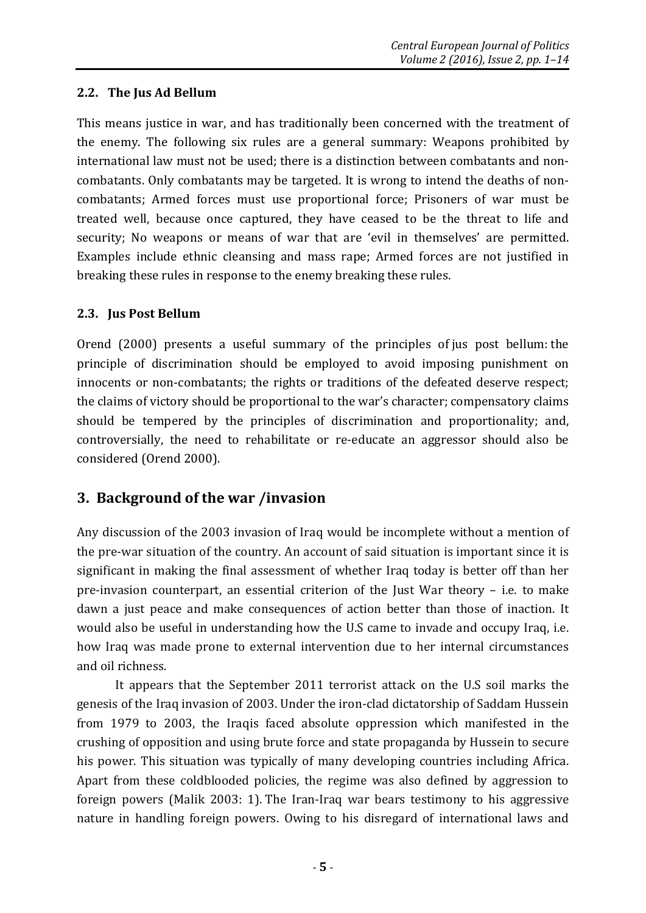#### **2.2. The Jus Ad Bellum**

This means justice in war, and has traditionally been concerned with the treatment of the enemy. The following six rules are a general summary: Weapons prohibited by international law must not be used; there is a distinction between combatants and noncombatants. Only combatants may be targeted. It is wrong to intend the deaths of noncombatants; Armed forces must use proportional force; Prisoners of war must be treated well, because once captured, they have ceased to be the threat to life and security; No weapons or means of war that are 'evil in themselves' are permitted. Examples include ethnic cleansing and mass rape; Armed forces are not justified in breaking these rules in response to the enemy breaking these rules.

#### **2.3. Jus Post Bellum**

Orend (2000) presents a useful summary of the principles of jus post bellum: the principle of discrimination should be employed to avoid imposing punishment on innocents or non-combatants; the rights or traditions of the defeated deserve respect; the claims of victory should be proportional to the war's character; compensatory claims should be tempered by the principles of discrimination and proportionality; and, controversially, the need to rehabilitate or re-educate an aggressor should also be considered (Orend 2000).

#### **3. Background of the war /invasion**

Any discussion of the 2003 invasion of Iraq would be incomplete without a mention of the pre-war situation of the country. An account of said situation is important since it is significant in making the final assessment of whether Iraq today is better off than her pre-invasion counterpart, an essential criterion of the Just War theory – i.e. to make dawn a just peace and make consequences of action better than those of inaction. It would also be useful in understanding how the U.S came to invade and occupy Iraq, i.e. how Iraq was made prone to external intervention due to her internal circumstances and oil richness.

It appears that the September 2011 terrorist attack on the U.S soil marks the genesis of the Iraq invasion of 2003. Under the iron-clad dictatorship of Saddam Hussein from 1979 to 2003, the Iraqis faced absolute oppression which manifested in the crushing of opposition and using brute force and state propaganda by Hussein to secure his power. This situation was typically of many developing countries including Africa. Apart from these coldblooded policies, the regime was also defined by aggression to foreign powers (Malik 2003: 1). The Iran-Iraq war bears testimony to his aggressive nature in handling foreign powers. Owing to his disregard of international laws and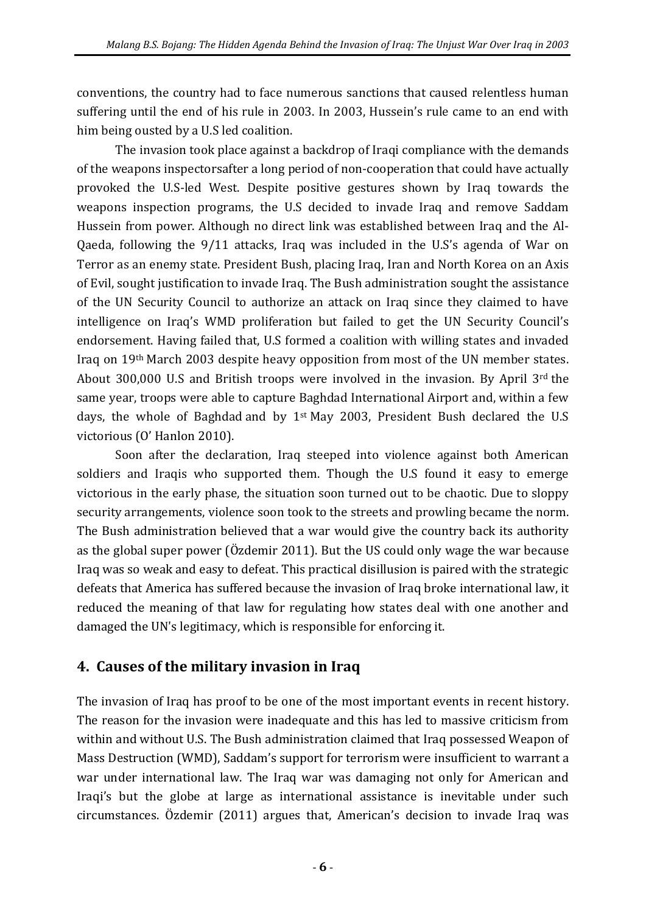conventions, the country had to face numerous sanctions that caused relentless human suffering until the end of his rule in 2003. In 2003, Hussein's rule came to an end with him being ousted by a U.S led coalition.

The invasion took place against a backdrop of Iraqi compliance with the demands of the weapons inspectorsafter a long period of non-cooperation that could have actually provoked the U.S-led West. Despite positive gestures shown by Iraq towards the weapons inspection programs, the U.S decided to invade Iraq and remove Saddam Hussein from power. Although no direct link was established between Iraq and the Al-Qaeda, following the 9/11 attacks, Iraq was included in the U.S's agenda of War on Terror as an enemy state. President Bush, placing Iraq, Iran and North Korea on an Axis of Evil, sought justification to invade Iraq. The Bush administration sought the assistance of the UN Security Council to authorize an attack on Iraq since they claimed to have intelligence on Iraq's WMD proliferation but failed to get the UN Security Council's endorsement. Having failed that, U.S formed a coalition with willing states and invaded Iraq on 19th March 2003 despite heavy opposition from most of the UN member states. About 300,000 U.S and British troops were involved in the invasion. By April 3rd the same year, troops were able to capture Baghdad International Airport and, within a few days, the whole of Baghdad and by 1st May 2003, President Bush declared the U.S victorious (O' Hanlon 2010).

Soon after the declaration, Iraq steeped into violence against both American soldiers and Iraqis who supported them. Though the U.S found it easy to emerge victorious in the early phase, the situation soon turned out to be chaotic. Due to sloppy security arrangements, violence soon took to the streets and prowling became the norm. The Bush administration believed that a war would give the country back its authority as the global super power (Özdemir 2011). But the US could only wage the war because Iraq was so weak and easy to defeat. This practical disillusion is paired with the strategic defeats that America has suffered because the invasion of Iraq broke international law, it reduced the meaning of that law for regulating how states deal with one another and damaged the UN's legitimacy, which is responsible for enforcing it.

## **4. Causes of the military invasion in Iraq**

The invasion of Iraq has proof to be one of the most important events in recent history. The reason for the invasion were inadequate and this has led to massive criticism from within and without U.S. The Bush administration claimed that Iraq possessed Weapon of Mass Destruction (WMD), Saddam's support for terrorism were insufficient to warrant a war under international law. The Iraq war was damaging not only for American and Iraqi's but the globe at large as international assistance is inevitable under such circumstances. Özdemir (2011) argues that, American's decision to invade Iraq was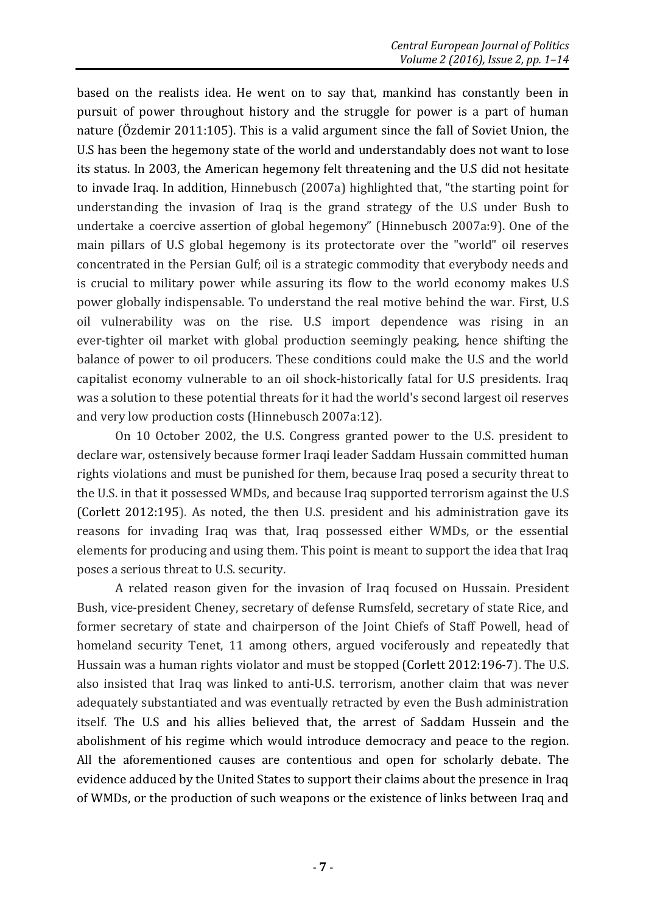based on the realists idea. He went on to say that, mankind has constantly been in pursuit of power throughout history and the struggle for power is a part of human nature (Özdemir 2011:105). This is a valid argument since the fall of Soviet Union, the U.S has been the hegemony state of the world and understandably does not want to lose its status. In 2003, the American hegemony felt threatening and the U.S did not hesitate to invade Iraq. In addition, Hinnebusch (2007a) highlighted that, "the starting point for understanding the invasion of Iraq is the grand strategy of the U.S under Bush to undertake a coercive assertion of global hegemony" (Hinnebusch 2007a:9). One of the main pillars of U.S global hegemony is its protectorate over the "world" oil reserves concentrated in the Persian Gulf; oil is a strategic commodity that everybody needs and is crucial to military power while assuring its flow to the world economy makes U.S power globally indispensable. To understand the real motive behind the war. First, U.S oil vulnerability was on the rise. U.S import dependence was rising in an ever-tighter oil market with global production seemingly peaking, hence shifting the balance of power to oil producers. These conditions could make the U.S and the world capitalist economy vulnerable to an oil shock-historically fatal for U.S presidents. Iraq was a solution to these potential threats for it had the world's second largest oil reserves and very low production costs (Hinnebusch 2007a:12).

On 10 October 2002, the U.S. Congress granted power to the U.S. president to declare war, ostensively because former Iraqi leader Saddam Hussain committed human rights violations and must be punished for them, because Iraq posed a security threat to the U.S. in that it possessed WMDs, and because Iraq supported terrorism against the U.S (Corlett 2012:195). As noted, the then U.S. president and his administration gave its reasons for invading Iraq was that, Iraq possessed either WMDs, or the essential elements for producing and using them. This point is meant to support the idea that Iraq poses a serious threat to U.S. security.

A related reason given for the invasion of Iraq focused on Hussain. President Bush, vice-president Cheney, secretary of defense Rumsfeld, secretary of state Rice, and former secretary of state and chairperson of the Joint Chiefs of Staff Powell, head of homeland security Tenet, 11 among others, argued vociferously and repeatedly that Hussain was a human rights violator and must be stopped (Corlett 2012:196-7). The U.S. also insisted that Iraq was linked to anti-U.S. terrorism, another claim that was never adequately substantiated and was eventually retracted by even the Bush administration itself. The U.S and his allies believed that, the arrest of Saddam Hussein and the abolishment of his regime which would introduce democracy and peace to the region. All the aforementioned causes are contentious and open for scholarly debate. The evidence adduced by the United States to support their claims about the presence in Iraq of WMDs, or the production of such weapons or the existence of links between Iraq and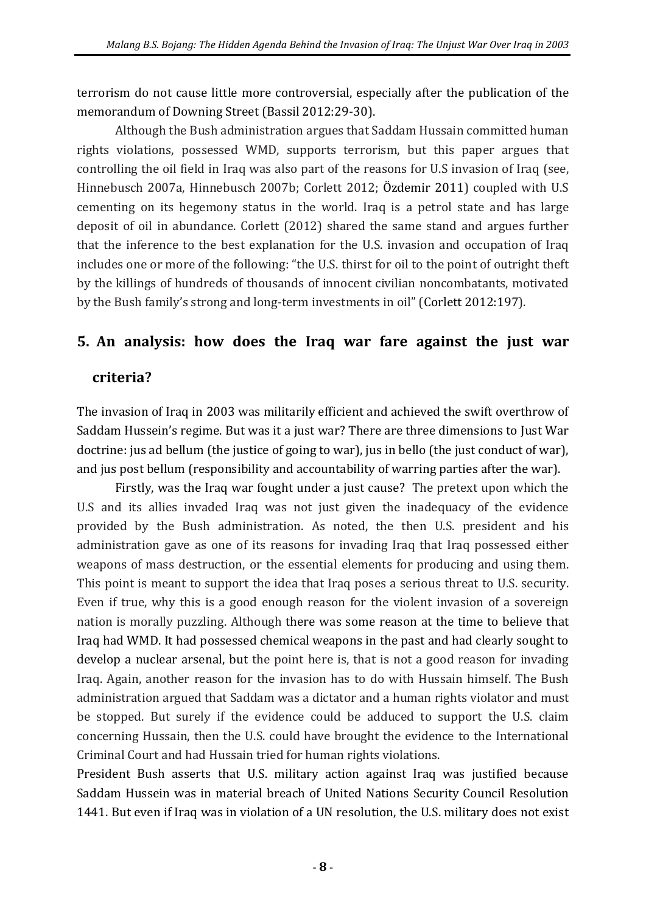terrorism do not cause little more controversial, especially after the publication of the memorandum of Downing Street (Bassil 2012:29-30).

Although the Bush administration argues that Saddam Hussain committed human rights violations, possessed WMD, supports terrorism, but this paper argues that controlling the oil field in Iraq was also part of the reasons for U.S invasion of Iraq (see, Hinnebusch 2007a, Hinnebusch 2007b; Corlett 2012; Özdemir 2011) coupled with U.S cementing on its hegemony status in the world. Iraq is a petrol state and has large deposit of oil in abundance. Corlett (2012) shared the same stand and argues further that the inference to the best explanation for the U.S. invasion and occupation of Iraq includes one or more of the following: "the U.S. thirst for oil to the point of outright theft by the killings of hundreds of thousands of innocent civilian noncombatants, motivated by the Bush family's strong and long-term investments in oil" (Corlett 2012:197).

## **5. An analysis: how does the Iraq war fare against the just war**

### **criteria?**

The invasion of Iraq in 2003 was militarily efficient and achieved the swift overthrow of Saddam Hussein's regime. But was it a just war? There are three dimensions to Just War doctrine: jus ad bellum (the justice of going to war), jus in bello (the just conduct of war), and jus post bellum (responsibility and accountability of warring parties after the war).

Firstly, was the Iraq war fought under a just cause? The pretext upon which the U.S and its allies invaded Iraq was not just given the inadequacy of the evidence provided by the Bush administration. As noted, the then U.S. president and his administration gave as one of its reasons for invading Iraq that Iraq possessed either weapons of mass destruction, or the essential elements for producing and using them. This point is meant to support the idea that Iraq poses a serious threat to U.S. security. Even if true, why this is a good enough reason for the violent invasion of a sovereign nation is morally puzzling. Although there was some reason at the time to believe that Iraq had WMD. It had possessed chemical weapons in the past and had clearly sought to develop a nuclear arsenal, but the point here is, that is not a good reason for invading Iraq. Again, another reason for the invasion has to do with Hussain himself. The Bush administration argued that Saddam was a dictator and a human rights violator and must be stopped. But surely if the evidence could be adduced to support the U.S. claim concerning Hussain, then the U.S. could have brought the evidence to the International Criminal Court and had Hussain tried for human rights violations.

President Bush asserts that U.S. military action against Iraq was justified because Saddam Hussein was in material breach of United Nations Security Council Resolution 1441. But even if Iraq was in violation of a UN resolution, the U.S. military does not exist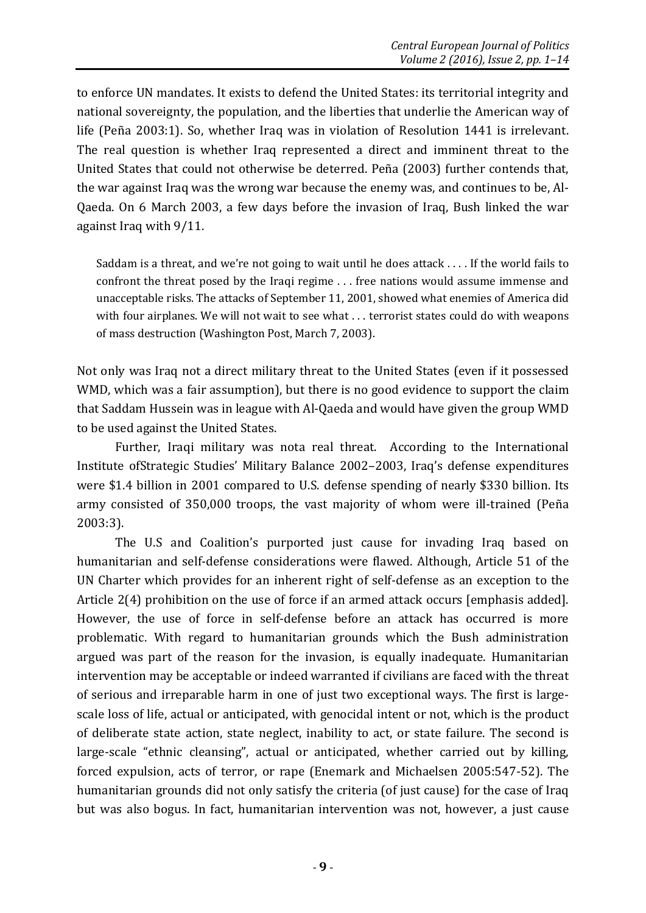to enforce UN mandates. It exists to defend the United States: its territorial integrity and national sovereignty, the population, and the liberties that underlie the American way of life (Peña 2003:1). So, whether Iraq was in violation of Resolution 1441 is irrelevant. The real question is whether Iraq represented a direct and imminent threat to the United States that could not otherwise be deterred. Peña (2003) further contends that, the war against Iraq was the wrong war because the enemy was, and continues to be, Al-Qaeda. On 6 March 2003, a few days before the invasion of Iraq, Bush linked the war against Iraq with 9/11.

Saddam is a threat, and we're not going to wait until he does attack . . . . If the world fails to confront the threat posed by the Iraqi regime . . . free nations would assume immense and unacceptable risks. The attacks of September 11, 2001, showed what enemies of America did with four airplanes. We will not wait to see what . . . terrorist states could do with weapons of mass destruction (Washington Post, March 7, 2003).

Not only was Iraq not a direct military threat to the United States (even if it possessed WMD, which was a fair assumption), but there is no good evidence to support the claim that Saddam Hussein was in league with Al-Qaeda and would have given the group WMD to be used against the United States.

Further, Iraqi military was nota real threat. According to the International Institute ofStrategic Studies' Military Balance 2002–2003, Iraq's defense expenditures were \$1.4 billion in 2001 compared to U.S. defense spending of nearly \$330 billion. Its army consisted of 350,000 troops, the vast majority of whom were ill-trained (Peña 2003:3).

The U.S and Coalition's purported just cause for invading Iraq based on humanitarian and self-defense considerations were flawed. Although, Article 51 of the UN Charter which provides for an inherent right of self-defense as an exception to the Article 2(4) prohibition on the use of force if an armed attack occurs [emphasis added]. However, the use of force in self-defense before an attack has occurred is more problematic. With regard to humanitarian grounds which the Bush administration argued was part of the reason for the invasion, is equally inadequate. Humanitarian intervention may be acceptable or indeed warranted if civilians are faced with the threat of serious and irreparable harm in one of just two exceptional ways. The first is largescale loss of life, actual or anticipated, with genocidal intent or not, which is the product of deliberate state action, state neglect, inability to act, or state failure. The second is large-scale "ethnic cleansing", actual or anticipated, whether carried out by killing, forced expulsion, acts of terror, or rape (Enemark and Michaelsen 2005:547-52). The humanitarian grounds did not only satisfy the criteria (of just cause) for the case of Iraq but was also bogus. In fact, humanitarian intervention was not, however, a just cause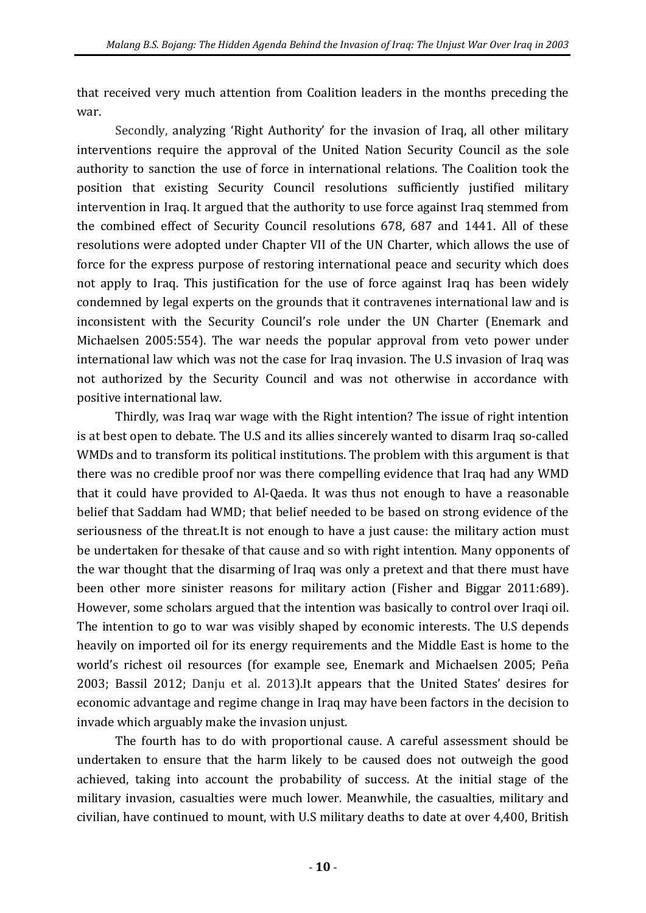that received very much attention from Coalition leaders in the months preceding the war.

Secondly, analyzing 'Right Authority' for the invasion of Iraq, all other military interventions require the approval of the United Nation Security Council as the sole authority to sanction the use of force in international relations. The Coalition took the position that existing Security Council resolutions sufficiently justified military intervention in Iraq. It argued that the authority to use force against Iraq stemmed from the combined effect of Security Council resolutions 678, 687 and 1441. All of these resolutions were adopted under Chapter VII of the UN Charter, which allows the use of force for the express purpose of restoring international peace and security which does not apply to Iraq. This justification for the use of force against Iraq has been widely condemned by legal experts on the grounds that it contravenes international law and is inconsistent with the Security Council's role under the UN Charter (Enemark and Michaelsen 2005:554). The war needs the popular approval from veto power under international law which was not the case for Iraq invasion. The U.S invasion of Iraq was not authorized by the Security Council and was not otherwise in accordance with positive international law.

Thirdly, was Iraq war wage with the Right intention? The issue of right intention is at best open to debate. The U.S and its allies sincerely wanted to disarm Iraq so-called WMDs and to transform its political institutions. The problem with this argument is that there was no credible proof nor was there compelling evidence that Iraq had any WMD that it could have provided to Al-Qaeda. It was thus not enough to have a reasonable belief that Saddam had WMD; that belief needed to be based on strong evidence of the seriousness of the threat.It is not enough to have a just cause: the military action must be undertaken for thesake of that cause and so with right intention. Many opponents of the war thought that the disarming of Iraq was only a pretext and that there must have been other more sinister reasons for military action (Fisher and Biggar 2011:689). However, some scholars argued that the intention was basically to control over Iraqi oil. The intention to go to war was visibly shaped by economic interests. The U.S depends heavily on imported oil for its energy requirements and the Middle East is home to the world's richest oil resources (for example see, Enemark and Michaelsen 2005; Peña 2003; Bassil 2012; Danju et al. 2013).It appears that the United States' desires for economic advantage and regime change in Iraq may have been factors in the decision to invade which arguably make the invasion unjust.

The fourth has to do with proportional cause. A careful assessment should be undertaken to ensure that the harm likely to be caused does not outweigh the good achieved, taking into account the probability of success. At the initial stage of the military invasion, casualties were much lower. Meanwhile, the casualties, military and civilian, have continued to mount, with U.S military deaths to date at over 4,400, British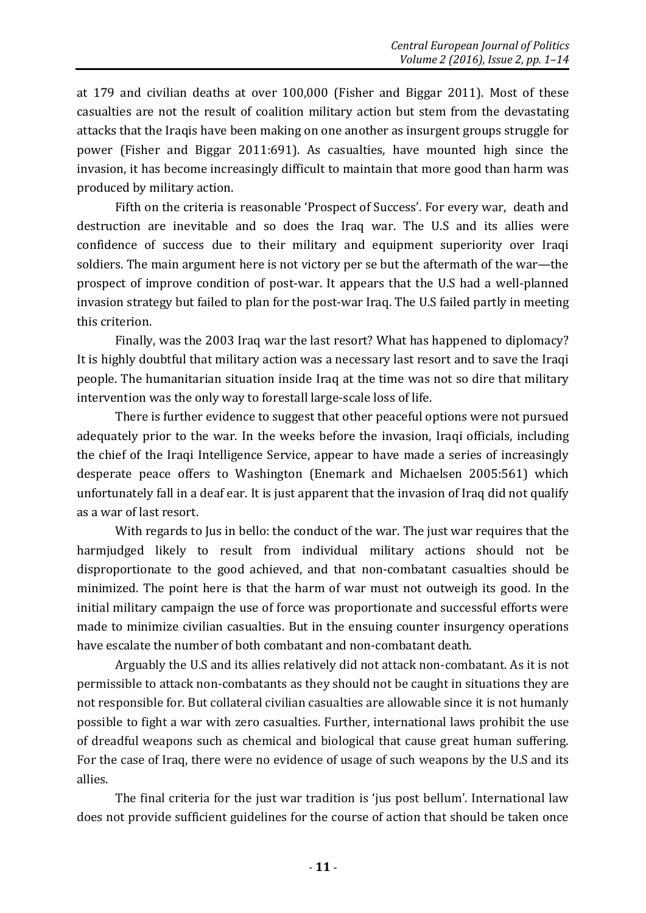at 179 and civilian deaths at over 100,000 (Fisher and Biggar 2011). Most of these casualties are not the result of coalition military action but stem from the devastating attacks that the Iraqis have been making on one another as insurgent groups struggle for power (Fisher and Biggar 2011:691). As casualties, have mounted high since the invasion, it has become increasingly difficult to maintain that more good than harm was produced by military action.

Fifth on the criteria is reasonable 'Prospect of Success'. For every war, death and destruction are inevitable and so does the Iraq war. The U.S and its allies were confidence of success due to their military and equipment superiority over Iraqi soldiers. The main argument here is not victory per se but the aftermath of the war—the prospect of improve condition of post-war. It appears that the U.S had a well-planned invasion strategy but failed to plan for the post-war Iraq. The U.S failed partly in meeting this criterion.

Finally, was the 2003 Iraq war the last resort? What has happened to diplomacy? It is highly doubtful that military action was a necessary last resort and to save the Iraqi people. The humanitarian situation inside Iraq at the time was not so dire that military intervention was the only way to forestall large-scale loss of life.

There is further evidence to suggest that other peaceful options were not pursued adequately prior to the war. In the weeks before the invasion, Iraqi officials, including the chief of the Iraqi Intelligence Service, appear to have made a series of increasingly desperate peace offers to Washington (Enemark and Michaelsen 2005:561) which unfortunately fall in a deaf ear. It is just apparent that the invasion of Iraq did not qualify as a war of last resort.

With regards to Jus in bello: the conduct of the war. The just war requires that the harmjudged likely to result from individual military actions should not be disproportionate to the good achieved, and that non-combatant casualties should be minimized. The point here is that the harm of war must not outweigh its good. In the initial military campaign the use of force was proportionate and successful efforts were made to minimize civilian casualties. But in the ensuing counter insurgency operations have escalate the number of both combatant and non-combatant death.

Arguably the U.S and its allies relatively did not attack non-combatant. As it is not permissible to attack non-combatants as they should not be caught in situations they are not responsible for. But collateral civilian casualties are allowable since it is not humanly possible to fight a war with zero casualties. Further, international laws prohibit the use of dreadful weapons such as chemical and biological that cause great human suffering. For the case of Iraq, there were no evidence of usage of such weapons by the U.S and its allies.

The final criteria for the just war tradition is 'jus post bellum'. International law does not provide sufficient guidelines for the course of action that should be taken once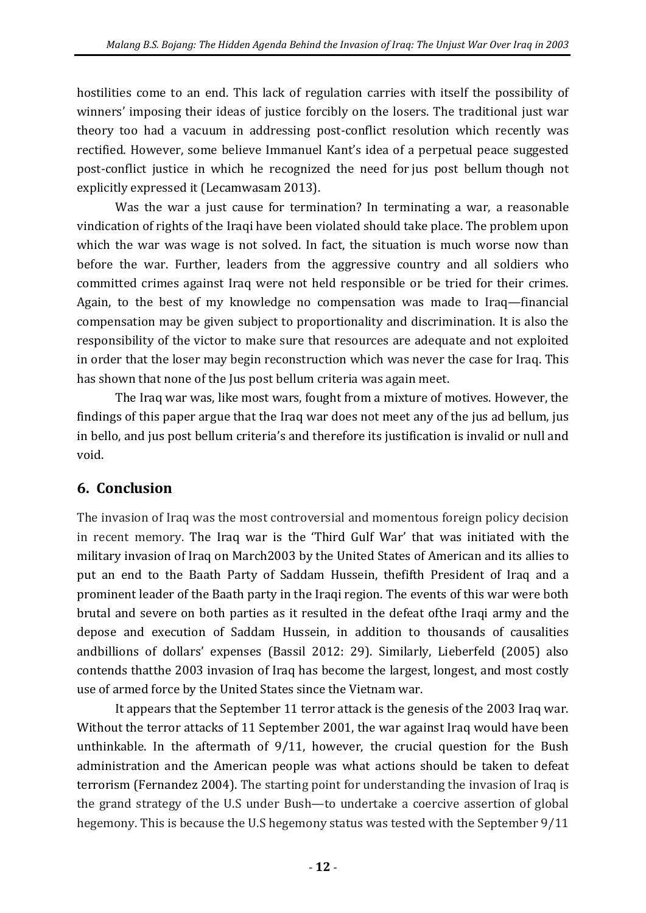hostilities come to an end. This lack of regulation carries with itself the possibility of winners' imposing their ideas of justice forcibly on the losers. The traditional just war theory too had a vacuum in addressing post-conflict resolution which recently was rectified. However, some believe Immanuel Kant's idea of a perpetual peace suggested post-conflict justice in which he recognized the need for jus post bellum though not explicitly expressed it (Lecamwasam 2013).

Was the war a just cause for termination? In terminating a war, a reasonable vindication of rights of the Iraqi have been violated should take place. The problem upon which the war was wage is not solved. In fact, the situation is much worse now than before the war. Further, leaders from the aggressive country and all soldiers who committed crimes against Iraq were not held responsible or be tried for their crimes. Again, to the best of my knowledge no compensation was made to Iraq—financial compensation may be given subject to proportionality and discrimination. It is also the responsibility of the victor to make sure that resources are adequate and not exploited in order that the loser may begin reconstruction which was never the case for Iraq. This has shown that none of the Jus post bellum criteria was again meet.

The Iraq war was, like most wars, fought from a mixture of motives. However, the findings of this paper argue that the Iraq war does not meet any of the jus ad bellum, jus in bello, and jus post bellum criteria's and therefore its justification is invalid or null and void.

## **6. Conclusion**

The invasion of Iraq was the most controversial and momentous foreign policy decision in recent memory. The Iraq war is the 'Third Gulf War' that was initiated with the military invasion of Iraq on March2003 by the United States of American and its allies to put an end to the Baath Party of Saddam Hussein, thefifth President of Iraq and a prominent leader of the Baath party in the Iraqi region. The events of this war were both brutal and severe on both parties as it resulted in the defeat ofthe Iraqi army and the depose and execution of Saddam Hussein, in addition to thousands of causalities andbillions of dollars' expenses (Bassil 2012: 29). Similarly, Lieberfeld (2005) also contends thatthe 2003 invasion of Iraq has become the largest, longest, and most costly use of armed force by the United States since the Vietnam war.

It appears that the September 11 terror attack is the genesis of the 2003 Iraq war. Without the terror attacks of 11 September 2001, the war against Iraq would have been unthinkable. In the aftermath of 9/11, however, the crucial question for the Bush administration and the American people was what actions should be taken to defeat terrorism (Fernandez 2004). The starting point for understanding the invasion of Iraq is the grand strategy of the U.S under Bush—to undertake a coercive assertion of global hegemony. This is because the U.S hegemony status was tested with the September 9/11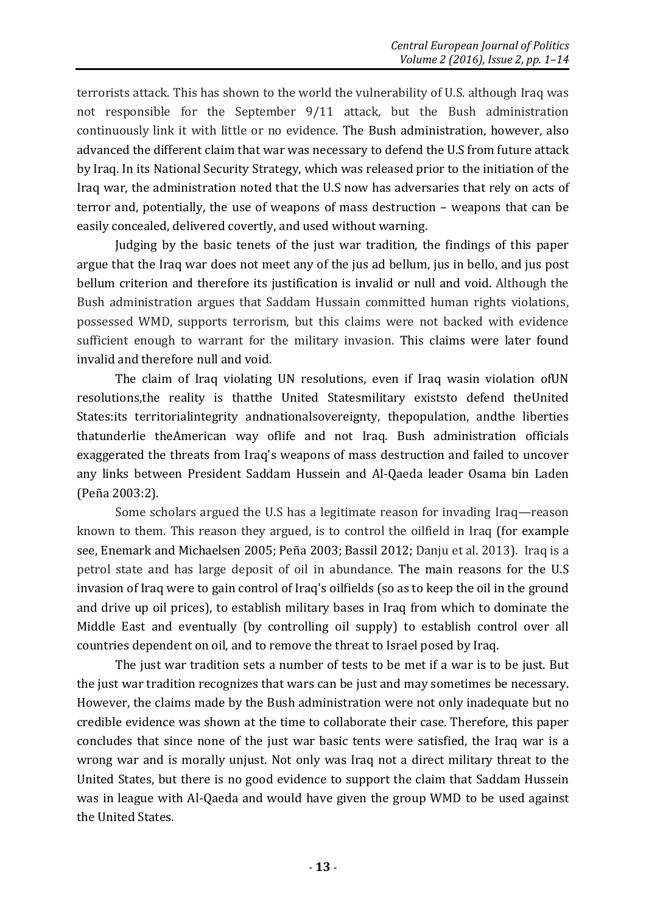terrorists attack. This has shown to the world the vulnerability of U.S. although Iraq was not responsible for the September 9/11 attack, but the Bush administration continuously link it with little or no evidence. The Bush administration, however, also advanced the different claim that war was necessary to defend the U.S from future attack by Iraq. In its National Security Strategy, which was released prior to the initiation of the Iraq war, the administration noted that the U.S now has adversaries that rely on acts of terror and, potentially, the use of weapons of mass destruction – weapons that can be easily concealed, delivered covertly, and used without warning.

Judging by the basic tenets of the just war tradition, the findings of this paper argue that the Iraq war does not meet any of the jus ad bellum, jus in bello, and jus post bellum criterion and therefore its justification is invalid or null and void. Although the Bush administration argues that Saddam Hussain committed human rights violations, possessed WMD, supports terrorism, but this claims were not backed with evidence sufficient enough to warrant for the military invasion. This claims were later found invalid and therefore null and void.

The claim of Iraq violating UN resolutions, even if Iraq wasin violation ofUN resolutions,the reality is thatthe United Statesmilitary existsto defend theUnited States:its territorialintegrity andnationalsovereignty, thepopulation, andthe liberties thatunderlie theAmerican way oflife and not Iraq. Bush administration officials exaggerated the threats from Iraq's weapons of mass destruction and failed to uncover any links between President Saddam Hussein and Al-Qaeda leader Osama bin Laden (Peña 2003:2).

Some scholars argued the U.S has a legitimate reason for invading Iraq—reason known to them. This reason they argued, is to control the oilfield in Iraq (for example see, Enemark and Michaelsen 2005; Peña 2003; Bassil 2012; Danju et al. 2013). Iraq is a petrol state and has large deposit of oil in abundance. The main reasons for the U.S invasion of Iraq were to gain control of Iraq's oilfields (so as to keep the oil in the ground and drive up oil prices), to establish military bases in Iraq from which to dominate the Middle East and eventually (by controlling oil supply) to establish control over all countries dependent on oil, and to remove the threat to Israel posed by Iraq.

The just war tradition sets a number of tests to be met if a war is to be just. But the just war tradition recognizes that wars can be just and may sometimes be necessary. However, the claims made by the Bush administration were not only inadequate but no credible evidence was shown at the time to collaborate their case. Therefore, this paper concludes that since none of the just war basic tents were satisfied, the Iraq war is a wrong war and is morally unjust. Not only was Iraq not a direct military threat to the United States, but there is no good evidence to support the claim that Saddam Hussein was in league with Al-Qaeda and would have given the group WMD to be used against the United States.